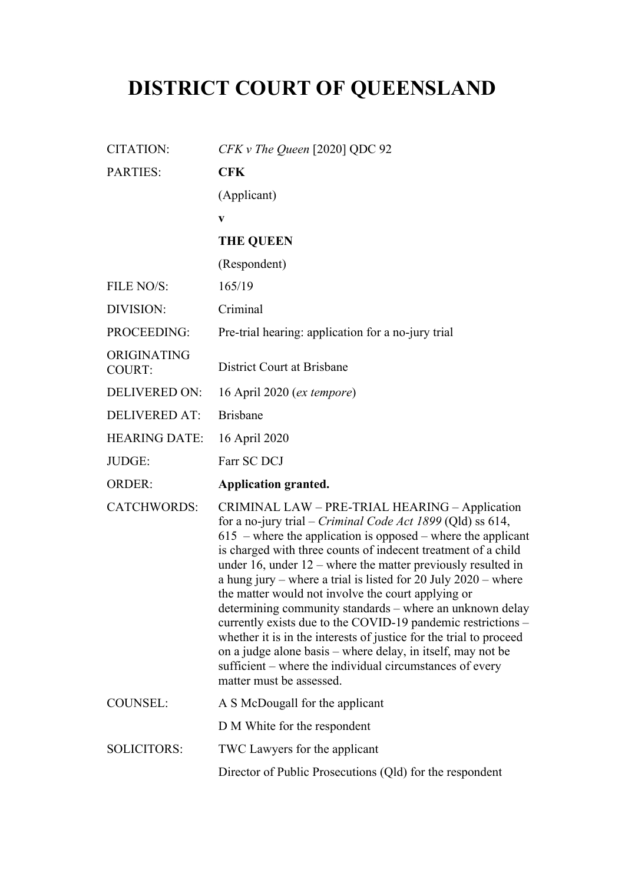## **DISTRICT COURT OF QUEENSLAND**

| $CFKv$ The Queen [2020] QDC 92                                                                                                                                                                                                                                                                                                                                                                                                                                                                                                                                                                                                                                                                                                                                                                              |
|-------------------------------------------------------------------------------------------------------------------------------------------------------------------------------------------------------------------------------------------------------------------------------------------------------------------------------------------------------------------------------------------------------------------------------------------------------------------------------------------------------------------------------------------------------------------------------------------------------------------------------------------------------------------------------------------------------------------------------------------------------------------------------------------------------------|
| <b>CFK</b>                                                                                                                                                                                                                                                                                                                                                                                                                                                                                                                                                                                                                                                                                                                                                                                                  |
| (Applicant)                                                                                                                                                                                                                                                                                                                                                                                                                                                                                                                                                                                                                                                                                                                                                                                                 |
| V                                                                                                                                                                                                                                                                                                                                                                                                                                                                                                                                                                                                                                                                                                                                                                                                           |
| <b>THE QUEEN</b>                                                                                                                                                                                                                                                                                                                                                                                                                                                                                                                                                                                                                                                                                                                                                                                            |
| (Respondent)                                                                                                                                                                                                                                                                                                                                                                                                                                                                                                                                                                                                                                                                                                                                                                                                |
| 165/19                                                                                                                                                                                                                                                                                                                                                                                                                                                                                                                                                                                                                                                                                                                                                                                                      |
| Criminal                                                                                                                                                                                                                                                                                                                                                                                                                                                                                                                                                                                                                                                                                                                                                                                                    |
| Pre-trial hearing: application for a no-jury trial                                                                                                                                                                                                                                                                                                                                                                                                                                                                                                                                                                                                                                                                                                                                                          |
| District Court at Brisbane                                                                                                                                                                                                                                                                                                                                                                                                                                                                                                                                                                                                                                                                                                                                                                                  |
| 16 April 2020 ( <i>ex tempore</i> )                                                                                                                                                                                                                                                                                                                                                                                                                                                                                                                                                                                                                                                                                                                                                                         |
| <b>Brisbane</b>                                                                                                                                                                                                                                                                                                                                                                                                                                                                                                                                                                                                                                                                                                                                                                                             |
| 16 April 2020                                                                                                                                                                                                                                                                                                                                                                                                                                                                                                                                                                                                                                                                                                                                                                                               |
| Farr SC DCJ                                                                                                                                                                                                                                                                                                                                                                                                                                                                                                                                                                                                                                                                                                                                                                                                 |
| <b>Application granted.</b>                                                                                                                                                                                                                                                                                                                                                                                                                                                                                                                                                                                                                                                                                                                                                                                 |
| CRIMINAL LAW - PRE-TRIAL HEARING - Application<br>for a no-jury trial – <i>Criminal Code Act 1899</i> (Qld) ss 614,<br>$615$ – where the application is opposed – where the applicant<br>is charged with three counts of indecent treatment of a child<br>under 16, under $12$ – where the matter previously resulted in<br>a hung jury – where a trial is listed for 20 July $2020$ – where<br>the matter would not involve the court applying or<br>determining community standards - where an unknown delay<br>currently exists due to the COVID-19 pandemic restrictions –<br>whether it is in the interests of justice for the trial to proceed<br>on a judge alone basis – where delay, in itself, may not be<br>sufficient – where the individual circumstances of every<br>matter must be assessed. |
| A S McDougall for the applicant                                                                                                                                                                                                                                                                                                                                                                                                                                                                                                                                                                                                                                                                                                                                                                             |
| D M White for the respondent                                                                                                                                                                                                                                                                                                                                                                                                                                                                                                                                                                                                                                                                                                                                                                                |
| TWC Lawyers for the applicant                                                                                                                                                                                                                                                                                                                                                                                                                                                                                                                                                                                                                                                                                                                                                                               |
| Director of Public Prosecutions (Qld) for the respondent                                                                                                                                                                                                                                                                                                                                                                                                                                                                                                                                                                                                                                                                                                                                                    |
|                                                                                                                                                                                                                                                                                                                                                                                                                                                                                                                                                                                                                                                                                                                                                                                                             |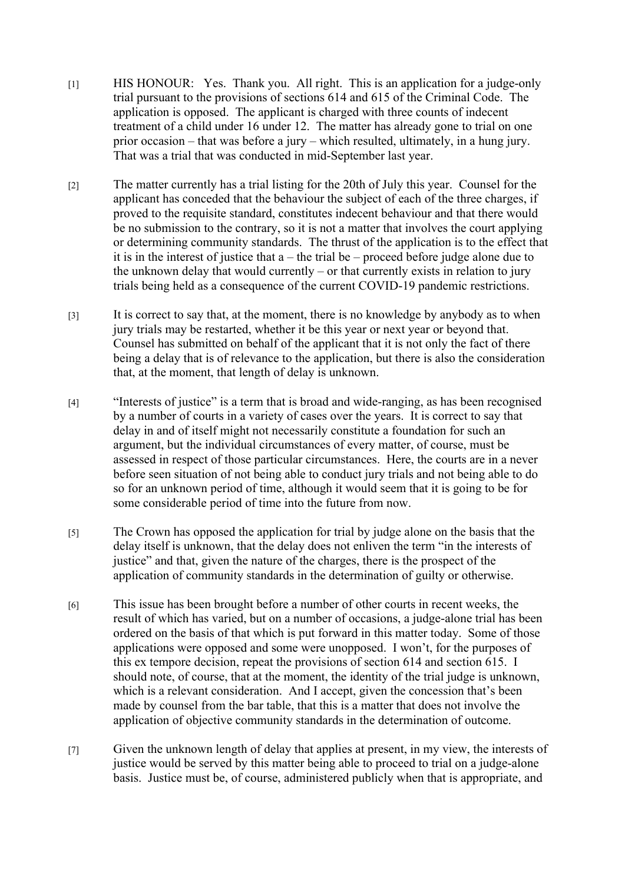- [1] HIS HONOUR: Yes. Thank you. All right. This is an application for a judge-only trial pursuant to the provisions of sections 614 and 615 of the Criminal Code. The application is opposed. The applicant is charged with three counts of indecent treatment of a child under 16 under 12. The matter has already gone to trial on one prior occasion – that was before a jury – which resulted, ultimately, in a hung jury. That was a trial that was conducted in mid-September last year.
- [2] The matter currently has a trial listing for the 20th of July this year. Counsel for the applicant has conceded that the behaviour the subject of each of the three charges, if proved to the requisite standard, constitutes indecent behaviour and that there would be no submission to the contrary, so it is not a matter that involves the court applying or determining community standards. The thrust of the application is to the effect that it is in the interest of justice that a – the trial be – proceed before judge alone due to the unknown delay that would currently – or that currently exists in relation to jury trials being held as a consequence of the current COVID-19 pandemic restrictions.
- [3] It is correct to say that, at the moment, there is no knowledge by anybody as to when jury trials may be restarted, whether it be this year or next year or beyond that. Counsel has submitted on behalf of the applicant that it is not only the fact of there being a delay that is of relevance to the application, but there is also the consideration that, at the moment, that length of delay is unknown.
- [4] "Interests of justice" is a term that is broad and wide-ranging, as has been recognised by a number of courts in a variety of cases over the years. It is correct to say that delay in and of itself might not necessarily constitute a foundation for such an argument, but the individual circumstances of every matter, of course, must be assessed in respect of those particular circumstances. Here, the courts are in a never before seen situation of not being able to conduct jury trials and not being able to do so for an unknown period of time, although it would seem that it is going to be for some considerable period of time into the future from now.
- [5] The Crown has opposed the application for trial by judge alone on the basis that the delay itself is unknown, that the delay does not enliven the term "in the interests of justice" and that, given the nature of the charges, there is the prospect of the application of community standards in the determination of guilty or otherwise.
- [6] This issue has been brought before a number of other courts in recent weeks, the result of which has varied, but on a number of occasions, a judge-alone trial has been ordered on the basis of that which is put forward in this matter today. Some of those applications were opposed and some were unopposed. I won't, for the purposes of this ex tempore decision, repeat the provisions of section 614 and section 615. I should note, of course, that at the moment, the identity of the trial judge is unknown, which is a relevant consideration. And I accept, given the concession that's been made by counsel from the bar table, that this is a matter that does not involve the application of objective community standards in the determination of outcome.
- [7] Given the unknown length of delay that applies at present, in my view, the interests of justice would be served by this matter being able to proceed to trial on a judge-alone basis. Justice must be, of course, administered publicly when that is appropriate, and